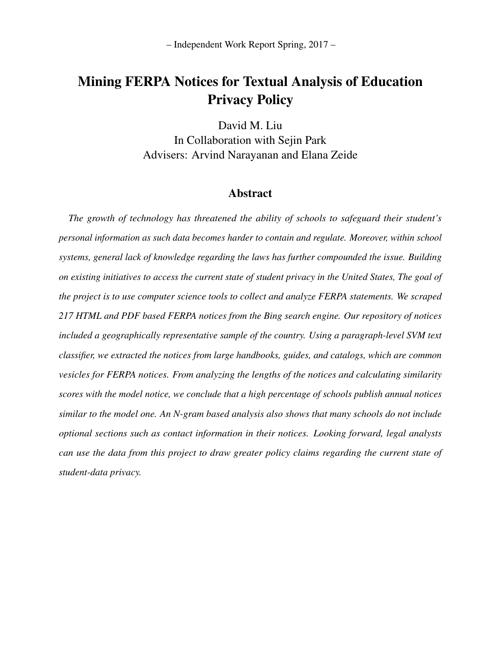– Independent Work Report Spring, 2017 –

# Mining FERPA Notices for Textual Analysis of Education Privacy Policy

David M. Liu In Collaboration with Sejin Park Advisers: Arvind Narayanan and Elana Zeide

# Abstract

*The growth of technology has threatened the ability of schools to safeguard their student's personal information as such data becomes harder to contain and regulate. Moreover, within school systems, general lack of knowledge regarding the laws has further compounded the issue. Building on existing initiatives to access the current state of student privacy in the United States, The goal of the project is to use computer science tools to collect and analyze FERPA statements. We scraped 217 HTML and PDF based FERPA notices from the Bing search engine. Our repository of notices included a geographically representative sample of the country. Using a paragraph-level SVM text classifier, we extracted the notices from large handbooks, guides, and catalogs, which are common vesicles for FERPA notices. From analyzing the lengths of the notices and calculating similarity scores with the model notice, we conclude that a high percentage of schools publish annual notices similar to the model one. An N-gram based analysis also shows that many schools do not include optional sections such as contact information in their notices. Looking forward, legal analysts can use the data from this project to draw greater policy claims regarding the current state of student-data privacy.*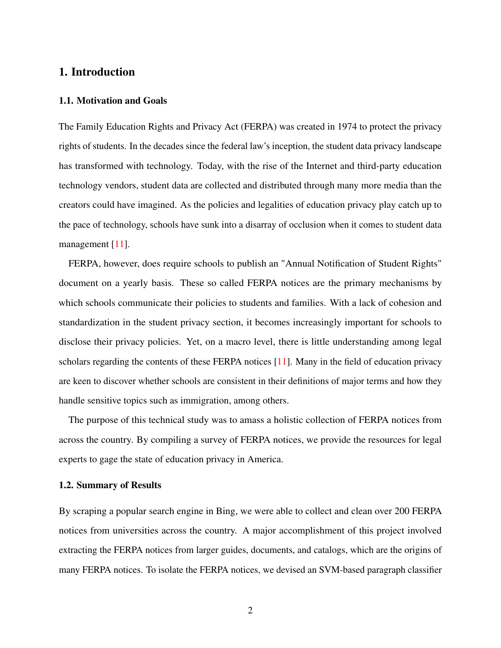# 1. Introduction

#### 1.1. Motivation and Goals

The Family Education Rights and Privacy Act (FERPA) was created in 1974 to protect the privacy rights of students. In the decades since the federal law's inception, the student data privacy landscape has transformed with technology. Today, with the rise of the Internet and third-party education technology vendors, student data are collected and distributed through many more media than the creators could have imagined. As the policies and legalities of education privacy play catch up to the pace of technology, schools have sunk into a disarray of occlusion when it comes to student data management [\[11\]](#page-23-0).

FERPA, however, does require schools to publish an "Annual Notification of Student Rights" document on a yearly basis. These so called FERPA notices are the primary mechanisms by which schools communicate their policies to students and families. With a lack of cohesion and standardization in the student privacy section, it becomes increasingly important for schools to disclose their privacy policies. Yet, on a macro level, there is little understanding among legal scholars regarding the contents of these FERPA notices [\[11\]](#page-23-0). Many in the field of education privacy are keen to discover whether schools are consistent in their definitions of major terms and how they handle sensitive topics such as immigration, among others.

The purpose of this technical study was to amass a holistic collection of FERPA notices from across the country. By compiling a survey of FERPA notices, we provide the resources for legal experts to gage the state of education privacy in America.

#### 1.2. Summary of Results

By scraping a popular search engine in Bing, we were able to collect and clean over 200 FERPA notices from universities across the country. A major accomplishment of this project involved extracting the FERPA notices from larger guides, documents, and catalogs, which are the origins of many FERPA notices. To isolate the FERPA notices, we devised an SVM-based paragraph classifier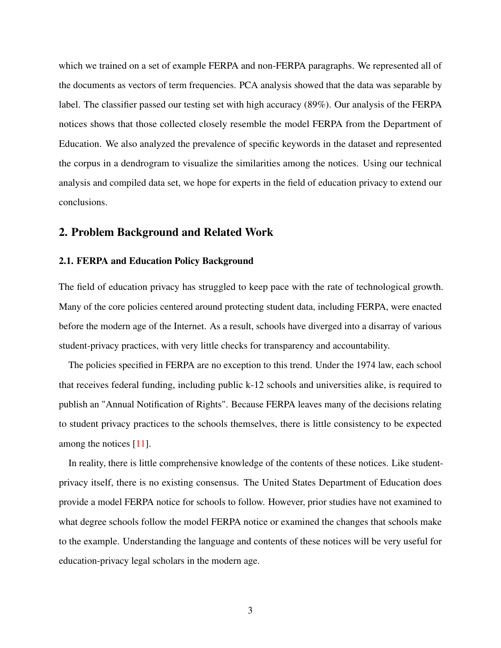which we trained on a set of example FERPA and non-FERPA paragraphs. We represented all of the documents as vectors of term frequencies. PCA analysis showed that the data was separable by label. The classifier passed our testing set with high accuracy (89%). Our analysis of the FERPA notices shows that those collected closely resemble the model FERPA from the Department of Education. We also analyzed the prevalence of specific keywords in the dataset and represented the corpus in a dendrogram to visualize the similarities among the notices. Using our technical analysis and compiled data set, we hope for experts in the field of education privacy to extend our conclusions.

### 2. Problem Background and Related Work

#### 2.1. FERPA and Education Policy Background

The field of education privacy has struggled to keep pace with the rate of technological growth. Many of the core policies centered around protecting student data, including FERPA, were enacted before the modern age of the Internet. As a result, schools have diverged into a disarray of various student-privacy practices, with very little checks for transparency and accountability.

The policies specified in FERPA are no exception to this trend. Under the 1974 law, each school that receives federal funding, including public k-12 schools and universities alike, is required to publish an "Annual Notification of Rights". Because FERPA leaves many of the decisions relating to student privacy practices to the schools themselves, there is little consistency to be expected among the notices [\[11\]](#page-23-0).

In reality, there is little comprehensive knowledge of the contents of these notices. Like studentprivacy itself, there is no existing consensus. The United States Department of Education does provide a model FERPA notice for schools to follow. However, prior studies have not examined to what degree schools follow the model FERPA notice or examined the changes that schools make to the example. Understanding the language and contents of these notices will be very useful for education-privacy legal scholars in the modern age.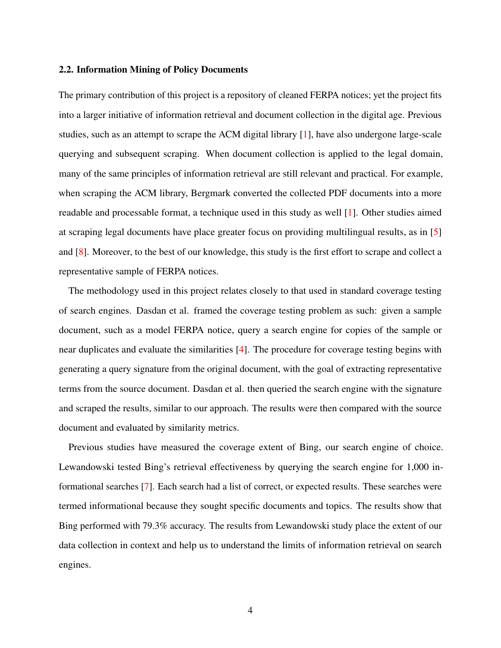#### 2.2. Information Mining of Policy Documents

The primary contribution of this project is a repository of cleaned FERPA notices; yet the project fits into a larger initiative of information retrieval and document collection in the digital age. Previous studies, such as an attempt to scrape the ACM digital library [\[1\]](#page-23-1), have also undergone large-scale querying and subsequent scraping. When document collection is applied to the legal domain, many of the same principles of information retrieval are still relevant and practical. For example, when scraping the ACM library, Bergmark converted the collected PDF documents into a more readable and processable format, a technique used in this study as well [\[1\]](#page-23-1). Other studies aimed at scraping legal documents have place greater focus on providing multilingual results, as in [\[5\]](#page-23-2) and [\[8\]](#page-23-3). Moreover, to the best of our knowledge, this study is the first effort to scrape and collect a representative sample of FERPA notices.

The methodology used in this project relates closely to that used in standard coverage testing of search engines. Dasdan et al. framed the coverage testing problem as such: given a sample document, such as a model FERPA notice, query a search engine for copies of the sample or near duplicates and evaluate the similarities [\[4\]](#page-23-4). The procedure for coverage testing begins with generating a query signature from the original document, with the goal of extracting representative terms from the source document. Dasdan et al. then queried the search engine with the signature and scraped the results, similar to our approach. The results were then compared with the source document and evaluated by similarity metrics.

Previous studies have measured the coverage extent of Bing, our search engine of choice. Lewandowski tested Bing's retrieval effectiveness by querying the search engine for 1,000 informational searches [\[7\]](#page-23-5). Each search had a list of correct, or expected results. These searches were termed informational because they sought specific documents and topics. The results show that Bing performed with 79.3% accuracy. The results from Lewandowski study place the extent of our data collection in context and help us to understand the limits of information retrieval on search engines.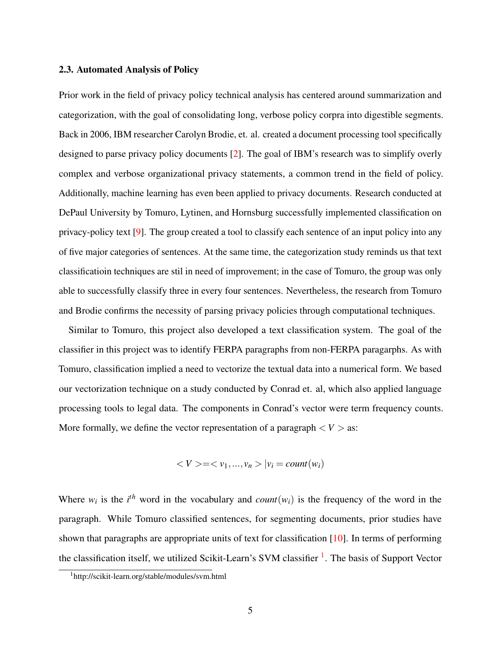#### 2.3. Automated Analysis of Policy

Prior work in the field of privacy policy technical analysis has centered around summarization and categorization, with the goal of consolidating long, verbose policy corpra into digestible segments. Back in 2006, IBM researcher Carolyn Brodie, et. al. created a document processing tool specifically designed to parse privacy policy documents [\[2\]](#page-23-6). The goal of IBM's research was to simplify overly complex and verbose organizational privacy statements, a common trend in the field of policy. Additionally, machine learning has even been applied to privacy documents. Research conducted at DePaul University by Tomuro, Lytinen, and Hornsburg successfully implemented classification on privacy-policy text [\[9\]](#page-23-7). The group created a tool to classify each sentence of an input policy into any of five major categories of sentences. At the same time, the categorization study reminds us that text classificatioin techniques are stil in need of improvement; in the case of Tomuro, the group was only able to successfully classify three in every four sentences. Nevertheless, the research from Tomuro and Brodie confirms the necessity of parsing privacy policies through computational techniques.

Similar to Tomuro, this project also developed a text classification system. The goal of the classifier in this project was to identify FERPA paragraphs from non-FERPA paragarphs. As with Tomuro, classification implied a need to vectorize the textual data into a numerical form. We based our vectorization technique on a study conducted by Conrad et. al, which also applied language processing tools to legal data. The components in Conrad's vector were term frequency counts. More formally, we define the vector representation of a paragraph  $\langle V \rangle$  as:

$$
\langle V \rangle = \langle v_1, \dots, v_n \rangle |v_i = count(w_i)
$$

Where  $w_i$  is the *i*<sup>th</sup> word in the vocabulary and *count*( $w_i$ ) is the frequency of the word in the paragraph. While Tomuro classified sentences, for segmenting documents, prior studies have shown that paragraphs are appropriate units of text for classification [\[10\]](#page-23-8). In terms of performing the classification itself, we utilized Scikit-Learn's SVM classifier <sup>[1](#page-4-0)</sup>. The basis of Support Vector

<span id="page-4-0"></span><sup>1</sup>http://scikit-learn.org/stable/modules/svm.html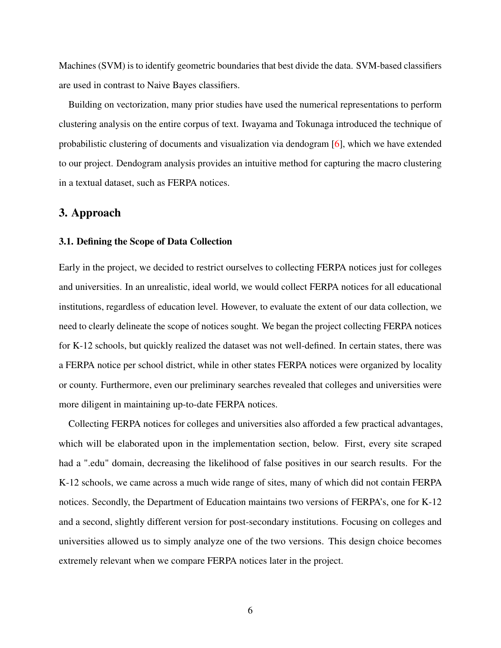Machines (SVM) is to identify geometric boundaries that best divide the data. SVM-based classifiers are used in contrast to Naive Bayes classifiers.

Building on vectorization, many prior studies have used the numerical representations to perform clustering analysis on the entire corpus of text. Iwayama and Tokunaga introduced the technique of probabilistic clustering of documents and visualization via dendogram [\[6\]](#page-23-9), which we have extended to our project. Dendogram analysis provides an intuitive method for capturing the macro clustering in a textual dataset, such as FERPA notices.

### 3. Approach

#### 3.1. Defining the Scope of Data Collection

Early in the project, we decided to restrict ourselves to collecting FERPA notices just for colleges and universities. In an unrealistic, ideal world, we would collect FERPA notices for all educational institutions, regardless of education level. However, to evaluate the extent of our data collection, we need to clearly delineate the scope of notices sought. We began the project collecting FERPA notices for K-12 schools, but quickly realized the dataset was not well-defined. In certain states, there was a FERPA notice per school district, while in other states FERPA notices were organized by locality or county. Furthermore, even our preliminary searches revealed that colleges and universities were more diligent in maintaining up-to-date FERPA notices.

Collecting FERPA notices for colleges and universities also afforded a few practical advantages, which will be elaborated upon in the implementation section, below. First, every site scraped had a ".edu" domain, decreasing the likelihood of false positives in our search results. For the K-12 schools, we came across a much wide range of sites, many of which did not contain FERPA notices. Secondly, the Department of Education maintains two versions of FERPA's, one for K-12 and a second, slightly different version for post-secondary institutions. Focusing on colleges and universities allowed us to simply analyze one of the two versions. This design choice becomes extremely relevant when we compare FERPA notices later in the project.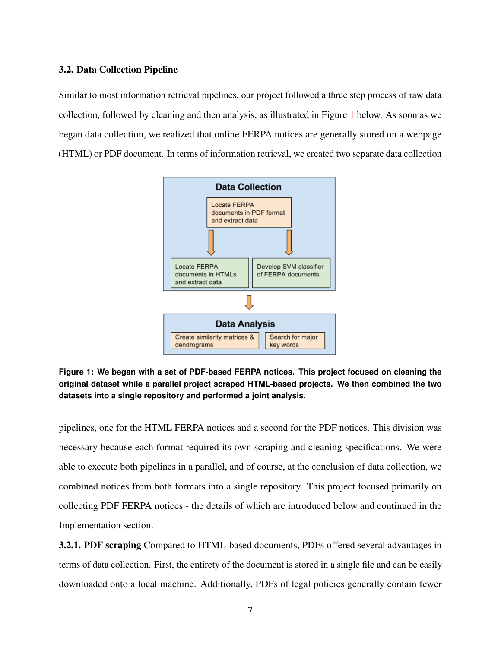### 3.2. Data Collection Pipeline

<span id="page-6-0"></span>Similar to most information retrieval pipelines, our project followed a three step process of raw data collection, followed by cleaning and then analysis, as illustrated in Figure [1](#page-6-0) below. As soon as we began data collection, we realized that online FERPA notices are generally stored on a webpage (HTML) or PDF document. In terms of information retrieval, we created two separate data collection



**Figure 1: We began with a set of PDF-based FERPA notices. This project focused on cleaning the original dataset while a parallel project scraped HTML-based projects. We then combined the two datasets into a single repository and performed a joint analysis.**

pipelines, one for the HTML FERPA notices and a second for the PDF notices. This division was necessary because each format required its own scraping and cleaning specifications. We were able to execute both pipelines in a parallel, and of course, at the conclusion of data collection, we combined notices from both formats into a single repository. This project focused primarily on collecting PDF FERPA notices - the details of which are introduced below and continued in the Implementation section.

3.2.1. PDF scraping Compared to HTML-based documents, PDFs offered several advantages in terms of data collection. First, the entirety of the document is stored in a single file and can be easily downloaded onto a local machine. Additionally, PDFs of legal policies generally contain fewer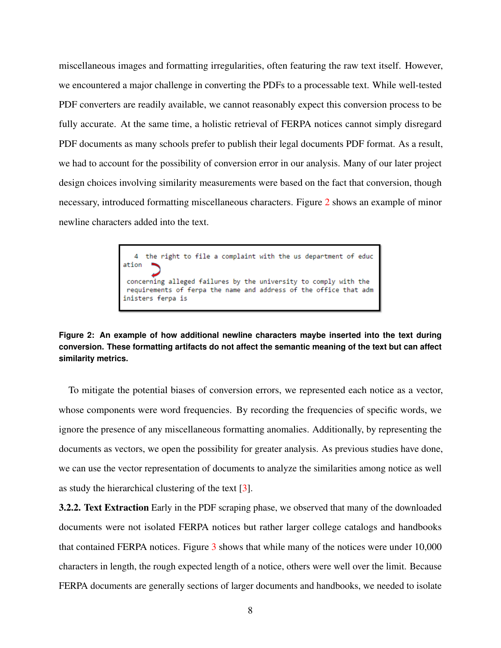miscellaneous images and formatting irregularities, often featuring the raw text itself. However, we encountered a major challenge in converting the PDFs to a processable text. While well-tested PDF converters are readily available, we cannot reasonably expect this conversion process to be fully accurate. At the same time, a holistic retrieval of FERPA notices cannot simply disregard PDF documents as many schools prefer to publish their legal documents PDF format. As a result, we had to account for the possibility of conversion error in our analysis. Many of our later project design choices involving similarity measurements were based on the fact that conversion, though necessary, introduced formatting miscellaneous characters. Figure [2](#page-7-0) shows an example of minor newline characters added into the text.

> <span id="page-7-0"></span>4 the right to file a complaint with the us department of educ  $ation$ concerning alleged failures by the university to comply with the requirements of ferpa the name and address of the office that adm inisters ferpa is

**Figure 2: An example of how additional newline characters maybe inserted into the text during conversion. These formatting artifacts do not affect the semantic meaning of the text but can affect similarity metrics.**

To mitigate the potential biases of conversion errors, we represented each notice as a vector, whose components were word frequencies. By recording the frequencies of specific words, we ignore the presence of any miscellaneous formatting anomalies. Additionally, by representing the documents as vectors, we open the possibility for greater analysis. As previous studies have done, we can use the vector representation of documents to analyze the similarities among notice as well as study the hierarchical clustering of the text [\[3\]](#page-23-10).

3.2.2. Text Extraction Early in the PDF scraping phase, we observed that many of the downloaded documents were not isolated FERPA notices but rather larger college catalogs and handbooks that contained FERPA notices. Figure [3](#page-8-0) shows that while many of the notices were under 10,000 characters in length, the rough expected length of a notice, others were well over the limit. Because FERPA documents are generally sections of larger documents and handbooks, we needed to isolate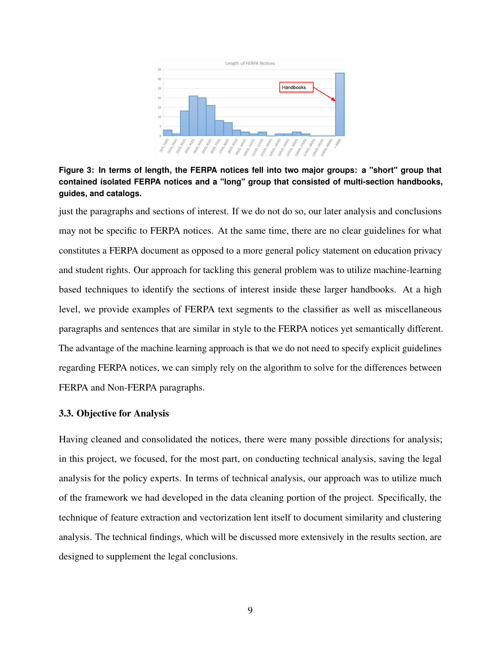<span id="page-8-0"></span>

**Figure 3: In terms of length, the FERPA notices fell into two major groups: a "short" group that contained isolated FERPA notices and a "long" group that consisted of multi-section handbooks, guides, and catalogs.**

just the paragraphs and sections of interest. If we do not do so, our later analysis and conclusions may not be specific to FERPA notices. At the same time, there are no clear guidelines for what constitutes a FERPA document as opposed to a more general policy statement on education privacy and student rights. Our approach for tackling this general problem was to utilize machine-learning based techniques to identify the sections of interest inside these larger handbooks. At a high level, we provide examples of FERPA text segments to the classifier as well as miscellaneous paragraphs and sentences that are similar in style to the FERPA notices yet semantically different. The advantage of the machine learning approach is that we do not need to specify explicit guidelines regarding FERPA notices, we can simply rely on the algorithm to solve for the differences between FERPA and Non-FERPA paragraphs.

### 3.3. Objective for Analysis

Having cleaned and consolidated the notices, there were many possible directions for analysis; in this project, we focused, for the most part, on conducting technical analysis, saving the legal analysis for the policy experts. In terms of technical analysis, our approach was to utilize much of the framework we had developed in the data cleaning portion of the project. Specifically, the technique of feature extraction and vectorization lent itself to document similarity and clustering analysis. The technical findings, which will be discussed more extensively in the results section, are designed to supplement the legal conclusions.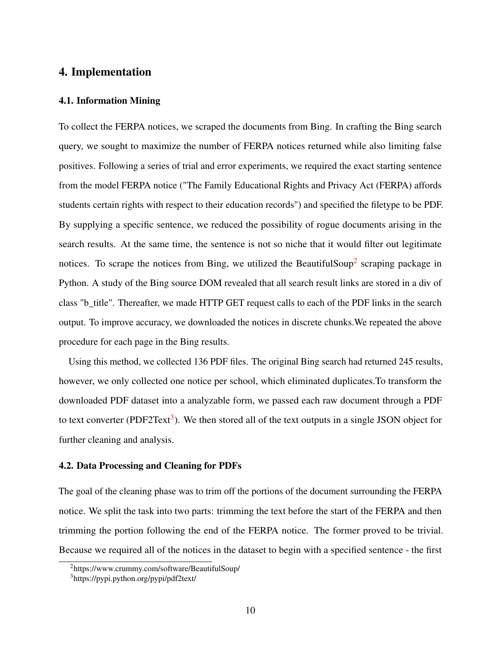# 4. Implementation

#### 4.1. Information Mining

To collect the FERPA notices, we scraped the documents from Bing. In crafting the Bing search query, we sought to maximize the number of FERPA notices returned while also limiting false positives. Following a series of trial and error experiments, we required the exact starting sentence from the model FERPA notice ("The Family Educational Rights and Privacy Act (FERPA) affords students certain rights with respect to their education records") and specified the filetype to be PDF. By supplying a specific sentence, we reduced the possibility of rogue documents arising in the search results. At the same time, the sentence is not so niche that it would filter out legitimate notices. To scrape the notices from Bing, we utilized the BeautifulSoup<sup>[2](#page-9-0)</sup> scraping package in Python. A study of the Bing source DOM revealed that all search result links are stored in a div of class "b\_title". Thereafter, we made HTTP GET request calls to each of the PDF links in the search output. To improve accuracy, we downloaded the notices in discrete chunks.We repeated the above procedure for each page in the Bing results.

Using this method, we collected 136 PDF files. The original Bing search had returned 245 results, however, we only collected one notice per school, which eliminated duplicates.To transform the downloaded PDF dataset into a analyzable form, we passed each raw document through a PDF to text converter (PDF2Text<sup>[3](#page-9-1)</sup>). We then stored all of the text outputs in a single JSON object for further cleaning and analysis.

### 4.2. Data Processing and Cleaning for PDFs

The goal of the cleaning phase was to trim off the portions of the document surrounding the FERPA notice. We split the task into two parts: trimming the text before the start of the FERPA and then trimming the portion following the end of the FERPA notice. The former proved to be trivial. Because we required all of the notices in the dataset to begin with a specified sentence - the first

<span id="page-9-0"></span><sup>2</sup>https://www.crummy.com/software/BeautifulSoup/

<span id="page-9-1"></span><sup>3</sup>https://pypi.python.org/pypi/pdf2text/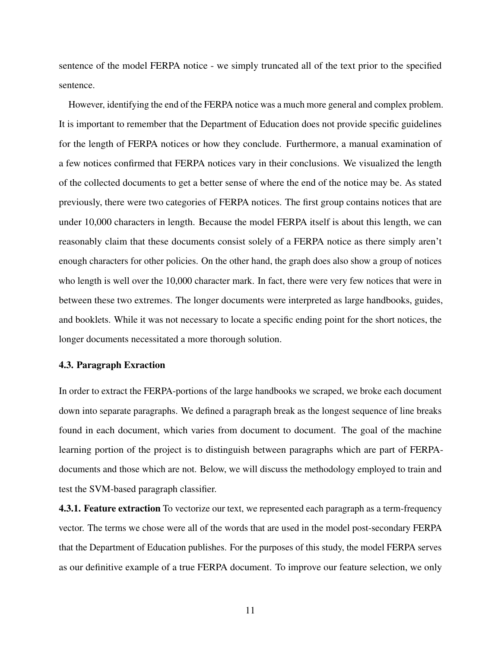sentence of the model FERPA notice - we simply truncated all of the text prior to the specified sentence.

However, identifying the end of the FERPA notice was a much more general and complex problem. It is important to remember that the Department of Education does not provide specific guidelines for the length of FERPA notices or how they conclude. Furthermore, a manual examination of a few notices confirmed that FERPA notices vary in their conclusions. We visualized the length of the collected documents to get a better sense of where the end of the notice may be. As stated previously, there were two categories of FERPA notices. The first group contains notices that are under 10,000 characters in length. Because the model FERPA itself is about this length, we can reasonably claim that these documents consist solely of a FERPA notice as there simply aren't enough characters for other policies. On the other hand, the graph does also show a group of notices who length is well over the 10,000 character mark. In fact, there were very few notices that were in between these two extremes. The longer documents were interpreted as large handbooks, guides, and booklets. While it was not necessary to locate a specific ending point for the short notices, the longer documents necessitated a more thorough solution.

#### 4.3. Paragraph Exraction

In order to extract the FERPA-portions of the large handbooks we scraped, we broke each document down into separate paragraphs. We defined a paragraph break as the longest sequence of line breaks found in each document, which varies from document to document. The goal of the machine learning portion of the project is to distinguish between paragraphs which are part of FERPAdocuments and those which are not. Below, we will discuss the methodology employed to train and test the SVM-based paragraph classifier.

4.3.1. Feature extraction To vectorize our text, we represented each paragraph as a term-frequency vector. The terms we chose were all of the words that are used in the model post-secondary FERPA that the Department of Education publishes. For the purposes of this study, the model FERPA serves as our definitive example of a true FERPA document. To improve our feature selection, we only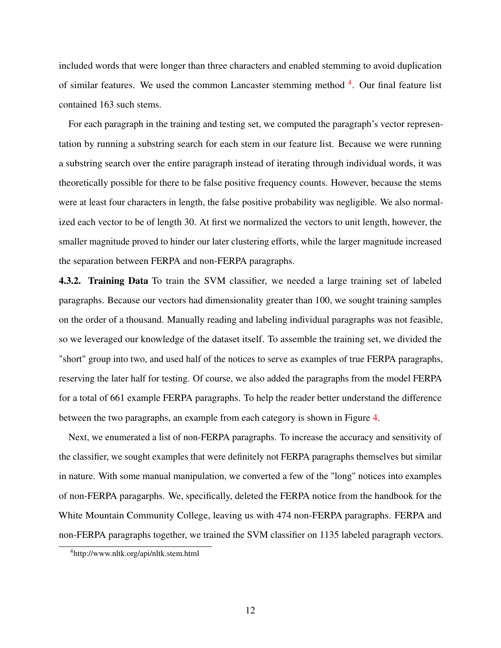included words that were longer than three characters and enabled stemming to avoid duplication of similar features. We used the common Lancaster stemming method <sup>[4](#page-11-0)</sup>. Our final feature list contained 163 such stems.

For each paragraph in the training and testing set, we computed the paragraph's vector representation by running a substring search for each stem in our feature list. Because we were running a substring search over the entire paragraph instead of iterating through individual words, it was theoretically possible for there to be false positive frequency counts. However, because the stems were at least four characters in length, the false positive probability was negligible. We also normalized each vector to be of length 30. At first we normalized the vectors to unit length, however, the smaller magnitude proved to hinder our later clustering efforts, while the larger magnitude increased the separation between FERPA and non-FERPA paragraphs.

4.3.2. Training Data To train the SVM classifier, we needed a large training set of labeled paragraphs. Because our vectors had dimensionality greater than 100, we sought training samples on the order of a thousand. Manually reading and labeling individual paragraphs was not feasible, so we leveraged our knowledge of the dataset itself. To assemble the training set, we divided the "short" group into two, and used half of the notices to serve as examples of true FERPA paragraphs, reserving the later half for testing. Of course, we also added the paragraphs from the model FERPA for a total of 661 example FERPA paragraphs. To help the reader better understand the difference between the two paragraphs, an example from each category is shown in Figure [4.](#page-12-0)

Next, we enumerated a list of non-FERPA paragraphs. To increase the accuracy and sensitivity of the classifier, we sought examples that were definitely not FERPA paragraphs themselves but similar in nature. With some manual manipulation, we converted a few of the "long" notices into examples of non-FERPA paragarphs. We, specifically, deleted the FERPA notice from the handbook for the White Mountain Community College, leaving us with 474 non-FERPA paragraphs. FERPA and non-FERPA paragraphs together, we trained the SVM classifier on 1135 labeled paragraph vectors.

<span id="page-11-0"></span><sup>4</sup>http://www.nltk.org/api/nltk.stem.html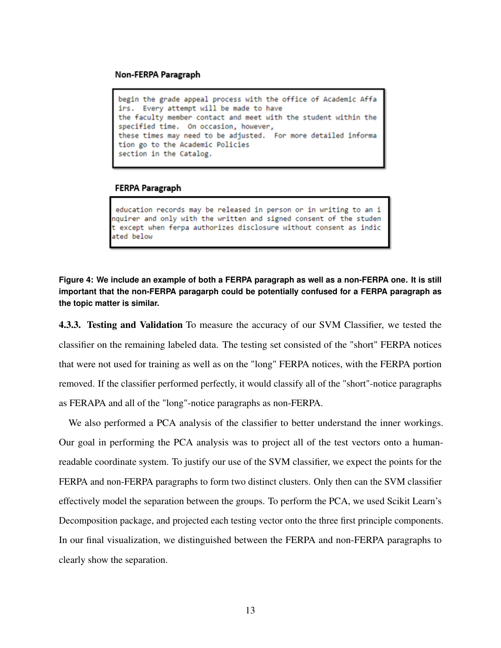#### <span id="page-12-0"></span>Non-FERPA Paragraph

```
begin the grade appeal process with the office of Academic Affa
irs. Every attempt will be made to have
the faculty member contact and meet with the student within the
specified time. On occasion, however,
these times may need to be adjusted. For more detailed informa
tion go to the Academic Policies
section in the Catalog.
```
#### FERPA Paragraph

education records may be released in person or in writing to an i nquirer and only with the written and signed consent of the studen t except when ferpa authorizes disclosure without consent as indic ated below

**Figure 4: We include an example of both a FERPA paragraph as well as a non-FERPA one. It is still important that the non-FERPA paragarph could be potentially confused for a FERPA paragraph as the topic matter is similar.**

4.3.3. Testing and Validation To measure the accuracy of our SVM Classifier, we tested the classifier on the remaining labeled data. The testing set consisted of the "short" FERPA notices that were not used for training as well as on the "long" FERPA notices, with the FERPA portion removed. If the classifier performed perfectly, it would classify all of the "short"-notice paragraphs as FERAPA and all of the "long"-notice paragraphs as non-FERPA.

We also performed a PCA analysis of the classifier to better understand the inner workings. Our goal in performing the PCA analysis was to project all of the test vectors onto a humanreadable coordinate system. To justify our use of the SVM classifier, we expect the points for the FERPA and non-FERPA paragraphs to form two distinct clusters. Only then can the SVM classifier effectively model the separation between the groups. To perform the PCA, we used Scikit Learn's Decomposition package, and projected each testing vector onto the three first principle components. In our final visualization, we distinguished between the FERPA and non-FERPA paragraphs to clearly show the separation.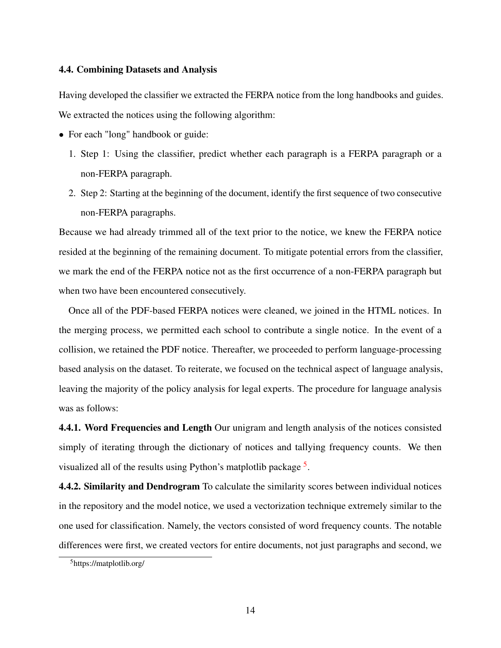#### 4.4. Combining Datasets and Analysis

Having developed the classifier we extracted the FERPA notice from the long handbooks and guides. We extracted the notices using the following algorithm:

- For each "long" handbook or guide:
	- 1. Step 1: Using the classifier, predict whether each paragraph is a FERPA paragraph or a non-FERPA paragraph.
	- 2. Step 2: Starting at the beginning of the document, identify the first sequence of two consecutive non-FERPA paragraphs.

Because we had already trimmed all of the text prior to the notice, we knew the FERPA notice resided at the beginning of the remaining document. To mitigate potential errors from the classifier, we mark the end of the FERPA notice not as the first occurrence of a non-FERPA paragraph but when two have been encountered consecutively.

Once all of the PDF-based FERPA notices were cleaned, we joined in the HTML notices. In the merging process, we permitted each school to contribute a single notice. In the event of a collision, we retained the PDF notice. Thereafter, we proceeded to perform language-processing based analysis on the dataset. To reiterate, we focused on the technical aspect of language analysis, leaving the majority of the policy analysis for legal experts. The procedure for language analysis was as follows:

4.4.1. Word Frequencies and Length Our unigram and length analysis of the notices consisted simply of iterating through the dictionary of notices and tallying frequency counts. We then visualized all of the results using Python's matplotlib package <sup>[5](#page-13-0)</sup>.

4.4.2. Similarity and Dendrogram To calculate the similarity scores between individual notices in the repository and the model notice, we used a vectorization technique extremely similar to the one used for classification. Namely, the vectors consisted of word frequency counts. The notable differences were first, we created vectors for entire documents, not just paragraphs and second, we

<span id="page-13-0"></span><sup>5</sup>https://matplotlib.org/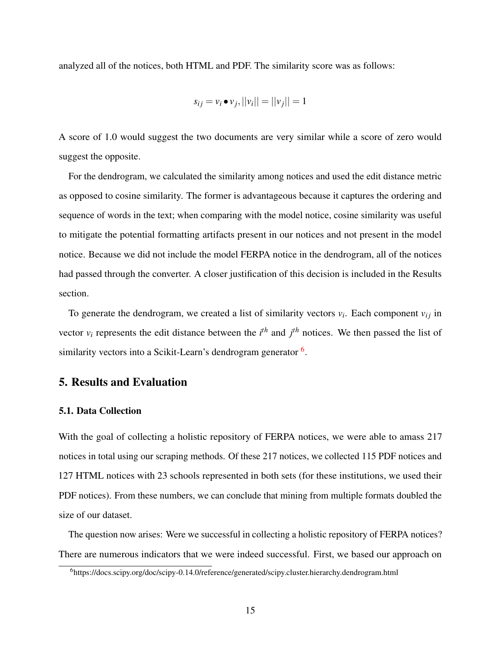analyzed all of the notices, both HTML and PDF. The similarity score was as follows:

$$
s_{ij} = v_i \bullet v_j, ||v_i|| = ||v_j|| = 1
$$

A score of 1.0 would suggest the two documents are very similar while a score of zero would suggest the opposite.

For the dendrogram, we calculated the similarity among notices and used the edit distance metric as opposed to cosine similarity. The former is advantageous because it captures the ordering and sequence of words in the text; when comparing with the model notice, cosine similarity was useful to mitigate the potential formatting artifacts present in our notices and not present in the model notice. Because we did not include the model FERPA notice in the dendrogram, all of the notices had passed through the converter. A closer justification of this decision is included in the Results section.

To generate the dendrogram, we created a list of similarity vectors  $v_i$ . Each component  $v_{ij}$  in vector  $v_i$  represents the edit distance between the  $i^{th}$  and  $j^{th}$  notices. We then passed the list of similarity vectors into a Scikit-Learn's dendrogram generator <sup>[6](#page-14-0)</sup>.

# 5. Results and Evaluation

#### 5.1. Data Collection

With the goal of collecting a holistic repository of FERPA notices, we were able to amass 217 notices in total using our scraping methods. Of these 217 notices, we collected 115 PDF notices and 127 HTML notices with 23 schools represented in both sets (for these institutions, we used their PDF notices). From these numbers, we can conclude that mining from multiple formats doubled the size of our dataset.

The question now arises: Were we successful in collecting a holistic repository of FERPA notices? There are numerous indicators that we were indeed successful. First, we based our approach on

<span id="page-14-0"></span><sup>6</sup>https://docs.scipy.org/doc/scipy-0.14.0/reference/generated/scipy.cluster.hierarchy.dendrogram.html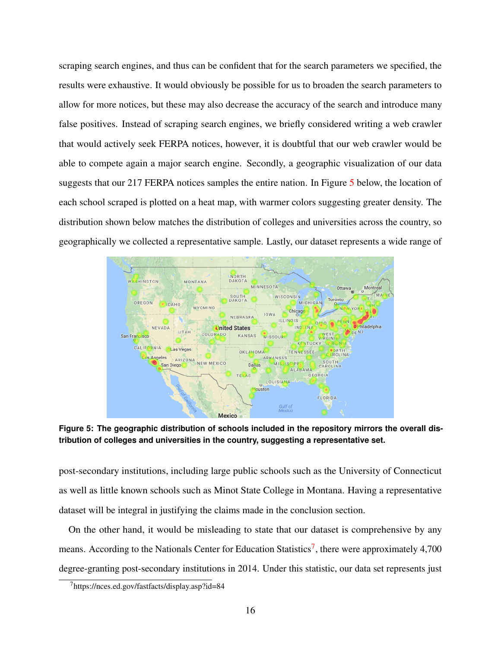scraping search engines, and thus can be confident that for the search parameters we specified, the results were exhaustive. It would obviously be possible for us to broaden the search parameters to allow for more notices, but these may also decrease the accuracy of the search and introduce many false positives. Instead of scraping search engines, we briefly considered writing a web crawler that would actively seek FERPA notices, however, it is doubtful that our web crawler would be able to compete again a major search engine. Secondly, a geographic visualization of our data suggests that our 217 FERPA notices samples the entire nation. In Figure [5](#page-15-0) below, the location of each school scraped is plotted on a heat map, with warmer colors suggesting greater density. The distribution shown below matches the distribution of colleges and universities across the country, so geographically we collected a representative sample. Lastly, our dataset represents a wide range of

<span id="page-15-0"></span>

**Figure 5: The geographic distribution of schools included in the repository mirrors the overall distribution of colleges and universities in the country, suggesting a representative set.**

post-secondary institutions, including large public schools such as the University of Connecticut as well as little known schools such as Minot State College in Montana. Having a representative dataset will be integral in justifying the claims made in the conclusion section.

On the other hand, it would be misleading to state that our dataset is comprehensive by any means. According to the Nationals Center for Education Statistics<sup>[7](#page-15-1)</sup>, there were approximately 4,700 degree-granting post-secondary institutions in 2014. Under this statistic, our data set represents just

<span id="page-15-1"></span><sup>7</sup>https://nces.ed.gov/fastfacts/display.asp?id=84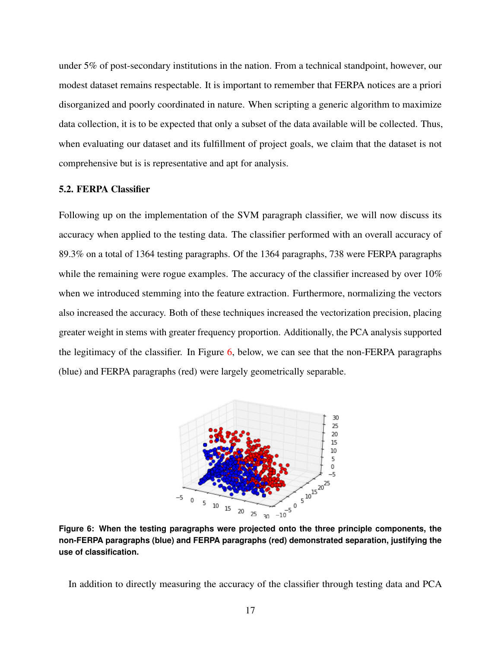under 5% of post-secondary institutions in the nation. From a technical standpoint, however, our modest dataset remains respectable. It is important to remember that FERPA notices are a priori disorganized and poorly coordinated in nature. When scripting a generic algorithm to maximize data collection, it is to be expected that only a subset of the data available will be collected. Thus, when evaluating our dataset and its fulfillment of project goals, we claim that the dataset is not comprehensive but is is representative and apt for analysis.

## 5.2. FERPA Classifier

Following up on the implementation of the SVM paragraph classifier, we will now discuss its accuracy when applied to the testing data. The classifier performed with an overall accuracy of 89.3% on a total of 1364 testing paragraphs. Of the 1364 paragraphs, 738 were FERPA paragraphs while the remaining were rogue examples. The accuracy of the classifier increased by over 10% when we introduced stemming into the feature extraction. Furthermore, normalizing the vectors also increased the accuracy. Both of these techniques increased the vectorization precision, placing greater weight in stems with greater frequency proportion. Additionally, the PCA analysis supported the legitimacy of the classifier. In Figure [6,](#page-16-0) below, we can see that the non-FERPA paragraphs (blue) and FERPA paragraphs (red) were largely geometrically separable.

<span id="page-16-0"></span>

**Figure 6: When the testing paragraphs were projected onto the three principle components, the non-FERPA paragraphs (blue) and FERPA paragraphs (red) demonstrated separation, justifying the use of classification.**

In addition to directly measuring the accuracy of the classifier through testing data and PCA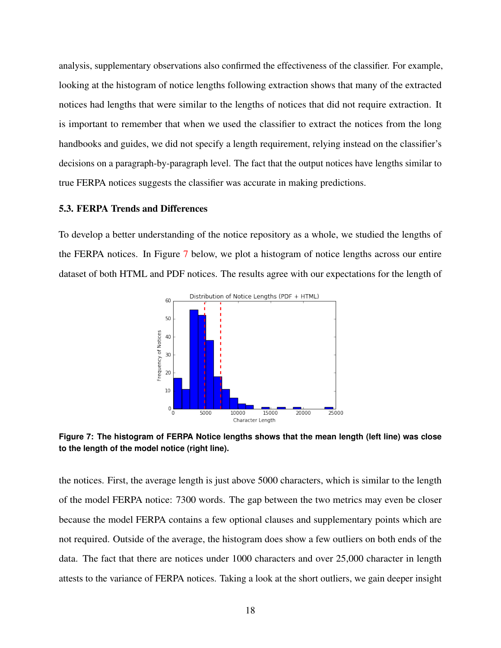analysis, supplementary observations also confirmed the effectiveness of the classifier. For example, looking at the histogram of notice lengths following extraction shows that many of the extracted notices had lengths that were similar to the lengths of notices that did not require extraction. It is important to remember that when we used the classifier to extract the notices from the long handbooks and guides, we did not specify a length requirement, relying instead on the classifier's decisions on a paragraph-by-paragraph level. The fact that the output notices have lengths similar to true FERPA notices suggests the classifier was accurate in making predictions.

#### 5.3. FERPA Trends and Differences

<span id="page-17-0"></span>To develop a better understanding of the notice repository as a whole, we studied the lengths of the FERPA notices. In Figure [7](#page-17-0) below, we plot a histogram of notice lengths across our entire dataset of both HTML and PDF notices. The results agree with our expectations for the length of



**Figure 7: The histogram of FERPA Notice lengths shows that the mean length (left line) was close to the length of the model notice (right line).**

the notices. First, the average length is just above 5000 characters, which is similar to the length of the model FERPA notice: 7300 words. The gap between the two metrics may even be closer because the model FERPA contains a few optional clauses and supplementary points which are not required. Outside of the average, the histogram does show a few outliers on both ends of the data. The fact that there are notices under 1000 characters and over 25,000 character in length attests to the variance of FERPA notices. Taking a look at the short outliers, we gain deeper insight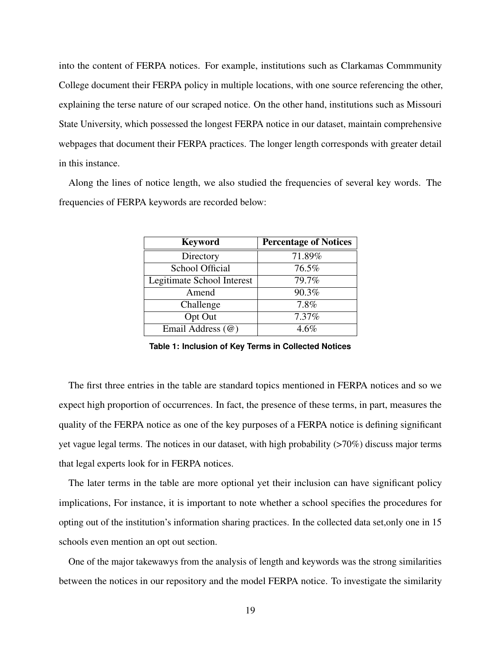into the content of FERPA notices. For example, institutions such as Clarkamas Commmunity College document their FERPA policy in multiple locations, with one source referencing the other, explaining the terse nature of our scraped notice. On the other hand, institutions such as Missouri State University, which possessed the longest FERPA notice in our dataset, maintain comprehensive webpages that document their FERPA practices. The longer length corresponds with greater detail in this instance.

Along the lines of notice length, we also studied the frequencies of several key words. The frequencies of FERPA keywords are recorded below:

| <b>Keyword</b>             | <b>Percentage of Notices</b> |
|----------------------------|------------------------------|
| Directory                  | 71.89%                       |
| <b>School Official</b>     | 76.5%                        |
| Legitimate School Interest | 79.7%                        |
| Amend                      | 90.3%                        |
| Challenge                  | 7.8%                         |
| Opt Out                    | 7.37%                        |
| Email Address (@)          | $4.6\%$                      |

**Table 1: Inclusion of Key Terms in Collected Notices**

The first three entries in the table are standard topics mentioned in FERPA notices and so we expect high proportion of occurrences. In fact, the presence of these terms, in part, measures the quality of the FERPA notice as one of the key purposes of a FERPA notice is defining significant yet vague legal terms. The notices in our dataset, with high probability (>70%) discuss major terms that legal experts look for in FERPA notices.

The later terms in the table are more optional yet their inclusion can have significant policy implications, For instance, it is important to note whether a school specifies the procedures for opting out of the institution's information sharing practices. In the collected data set,only one in 15 schools even mention an opt out section.

One of the major takewawys from the analysis of length and keywords was the strong similarities between the notices in our repository and the model FERPA notice. To investigate the similarity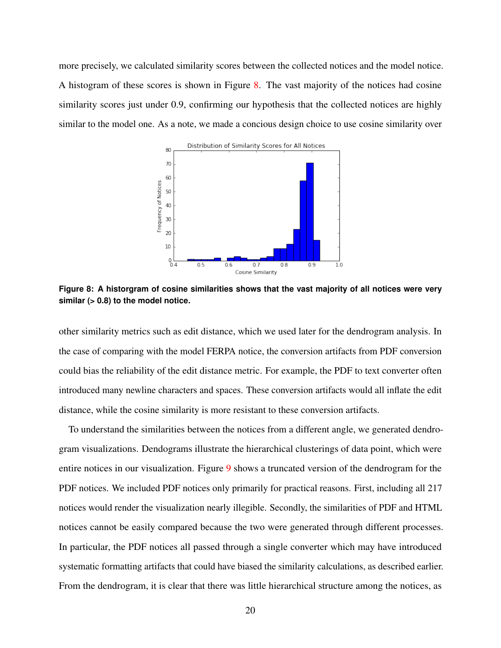<span id="page-19-0"></span>more precisely, we calculated similarity scores between the collected notices and the model notice. A histogram of these scores is shown in Figure  $8$ . The vast majority of the notices had cosine similarity scores just under 0.9, confirming our hypothesis that the collected notices are highly similar to the model one. As a note, we made a concious design choice to use cosine similarity over



**Figure 8: A historgram of cosine similarities shows that the vast majority of all notices were very similar (> 0.8) to the model notice.**

other similarity metrics such as edit distance, which we used later for the dendrogram analysis. In the case of comparing with the model FERPA notice, the conversion artifacts from PDF conversion could bias the reliability of the edit distance metric. For example, the PDF to text converter often introduced many newline characters and spaces. These conversion artifacts would all inflate the edit distance, while the cosine similarity is more resistant to these conversion artifacts.

To understand the similarities between the notices from a different angle, we generated dendrogram visualizations. Dendograms illustrate the hierarchical clusterings of data point, which were entire notices in our visualization. Figure [9](#page-20-0) shows a truncated version of the dendrogram for the PDF notices. We included PDF notices only primarily for practical reasons. First, including all 217 notices would render the visualization nearly illegible. Secondly, the similarities of PDF and HTML notices cannot be easily compared because the two were generated through different processes. In particular, the PDF notices all passed through a single converter which may have introduced systematic formatting artifacts that could have biased the similarity calculations, as described earlier. From the dendrogram, it is clear that there was little hierarchical structure among the notices, as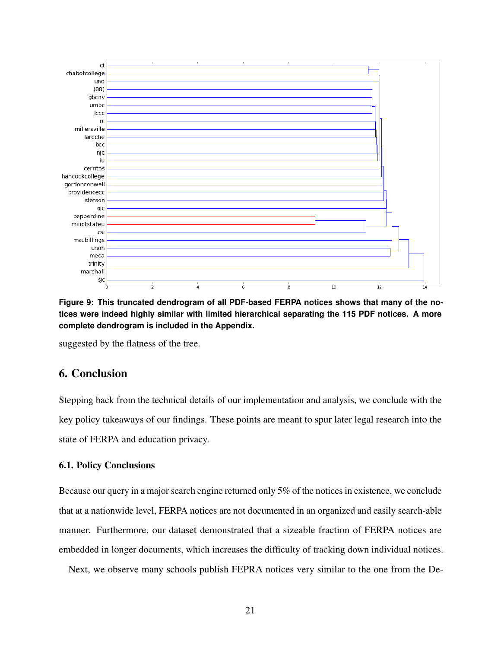<span id="page-20-0"></span>

**Figure 9: This truncated dendrogram of all PDF-based FERPA notices shows that many of the notices were indeed highly similar with limited hierarchical separating the 115 PDF notices. A more complete dendrogram is included in the Appendix.**

suggested by the flatness of the tree.

# 6. Conclusion

Stepping back from the technical details of our implementation and analysis, we conclude with the key policy takeaways of our findings. These points are meant to spur later legal research into the state of FERPA and education privacy.

### 6.1. Policy Conclusions

Because our query in a major search engine returned only 5% of the notices in existence, we conclude that at a nationwide level, FERPA notices are not documented in an organized and easily search-able manner. Furthermore, our dataset demonstrated that a sizeable fraction of FERPA notices are embedded in longer documents, which increases the difficulty of tracking down individual notices.

Next, we observe many schools publish FEPRA notices very similar to the one from the De-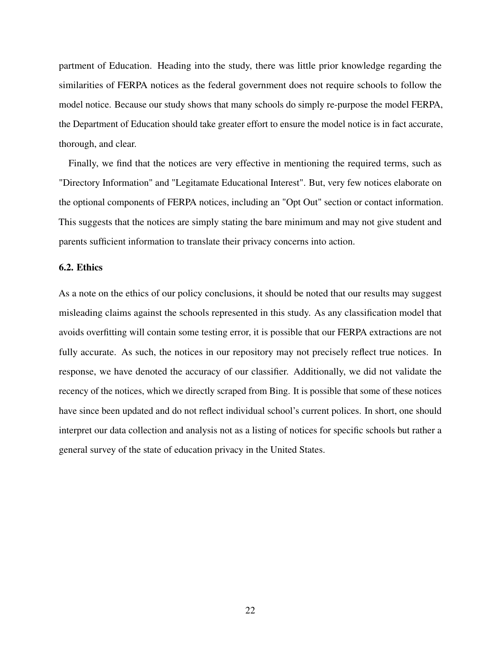partment of Education. Heading into the study, there was little prior knowledge regarding the similarities of FERPA notices as the federal government does not require schools to follow the model notice. Because our study shows that many schools do simply re-purpose the model FERPA, the Department of Education should take greater effort to ensure the model notice is in fact accurate, thorough, and clear.

Finally, we find that the notices are very effective in mentioning the required terms, such as "Directory Information" and "Legitamate Educational Interest". But, very few notices elaborate on the optional components of FERPA notices, including an "Opt Out" section or contact information. This suggests that the notices are simply stating the bare minimum and may not give student and parents sufficient information to translate their privacy concerns into action.

### 6.2. Ethics

As a note on the ethics of our policy conclusions, it should be noted that our results may suggest misleading claims against the schools represented in this study. As any classification model that avoids overfitting will contain some testing error, it is possible that our FERPA extractions are not fully accurate. As such, the notices in our repository may not precisely reflect true notices. In response, we have denoted the accuracy of our classifier. Additionally, we did not validate the recency of the notices, which we directly scraped from Bing. It is possible that some of these notices have since been updated and do not reflect individual school's current polices. In short, one should interpret our data collection and analysis not as a listing of notices for specific schools but rather a general survey of the state of education privacy in the United States.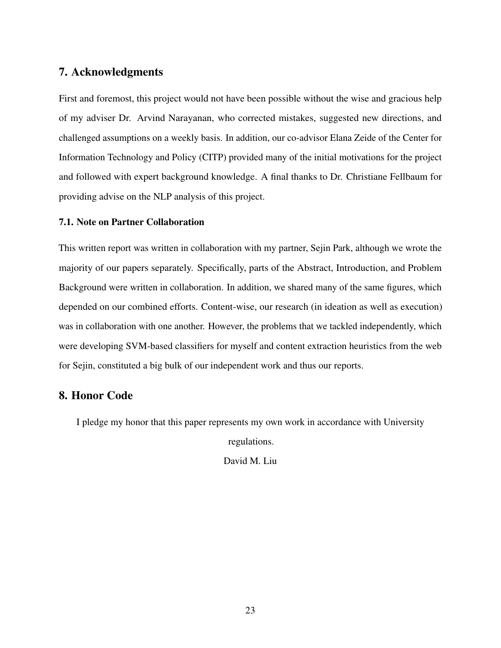# 7. Acknowledgments

First and foremost, this project would not have been possible without the wise and gracious help of my adviser Dr. Arvind Narayanan, who corrected mistakes, suggested new directions, and challenged assumptions on a weekly basis. In addition, our co-advisor Elana Zeide of the Center for Information Technology and Policy (CITP) provided many of the initial motivations for the project and followed with expert background knowledge. A final thanks to Dr. Christiane Fellbaum for providing advise on the NLP analysis of this project.

### 7.1. Note on Partner Collaboration

This written report was written in collaboration with my partner, Sejin Park, although we wrote the majority of our papers separately. Specifically, parts of the Abstract, Introduction, and Problem Background were written in collaboration. In addition, we shared many of the same figures, which depended on our combined efforts. Content-wise, our research (in ideation as well as execution) was in collaboration with one another. However, the problems that we tackled independently, which were developing SVM-based classifiers for myself and content extraction heuristics from the web for Sejin, constituted a big bulk of our independent work and thus our reports.

# 8. Honor Code

I pledge my honor that this paper represents my own work in accordance with University

regulations.

David M. Liu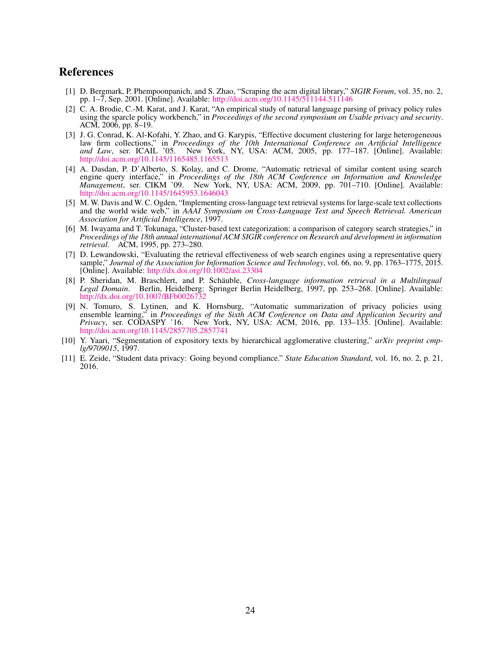# References

- <span id="page-23-1"></span>[1] D. Bergmark, P. Phempoonpanich, and S. Zhao, "Scraping the acm digital library," *SIGIR Forum*, vol. 35, no. 2, pp. 1–7, Sep. 2001. [Online]. Available: <http://doi.acm.org/10.1145/511144.511146>
- <span id="page-23-6"></span>[2] C. A. Brodie, C.-M. Karat, and J. Karat, "An empirical study of natural language parsing of privacy policy rules using the sparcle policy workbench," in *Proceedings of the second symposium on Usable privacy and security*. ACM, 2006, pp. 8–19.
- <span id="page-23-10"></span>[3] J. G. Conrad, K. Al-Kofahi, Y. Zhao, and G. Karypis, "Effective document clustering for large heterogeneous law firm collections," in *Proceedings of the 10th International Conference on Artificial Intelligence and Law*, ser. ICAIL '05. New York, NY, USA: ACM, 2005, pp. 177–187. [Online]. Available: <http://doi.acm.org/10.1145/1165485.1165513>
- <span id="page-23-4"></span>[4] A. Dasdan, P. D'Alberto, S. Kolay, and C. Drome, "Automatic retrieval of similar content using search engine query interface," in *Proceedings of the 18th ACM Conference on Information and Knowledge Management*, ser. CIKM '09. New York, NY, USA: ACM, 2009, pp. 701–710. [Online]. Available: <http://doi.acm.org/10.1145/1645953.1646043>
- <span id="page-23-2"></span>[5] M. W. Davis and W. C. Ogden, "Implementing cross-language text retrieval systems for large-scale text collections and the world wide web," in *AAAI Symposium on Cross-Language Text and Speech Retrieval. American Association for Artificial Intelligence*, 1997.
- <span id="page-23-9"></span>[6] M. Iwayama and T. Tokunaga, "Cluster-based text categorization: a comparison of category search strategies," in *Proceedings of the 18th annual international ACM SIGIR conference on Research and development in information retrieval*. ACM, 1995, pp. 273–280.
- <span id="page-23-5"></span>[7] D. Lewandowski, "Evaluating the retrieval effectiveness of web search engines using a representative query sample," *Journal of the Association for Information Science and Technology*, vol. 66, no. 9, pp. 1763–1775, 2015. [Online]. Available: <http://dx.doi.org/10.1002/asi.23304>
- <span id="page-23-3"></span>[8] P. Sheridan, M. Braschlert, and P. Schäuble, *Cross-language information retrieval in a Multilingual Legal Domain*. Berlin, Heidelberg: Springer Berlin Heidelberg, 1997, pp. 253–268. [Online]. Available: <http://dx.doi.org/10.1007/BFb0026732>
- <span id="page-23-7"></span>[9] N. Tomuro, S. Lytinen, and K. Hornsburg, "Automatic summarization of privacy policies using ensemble learning," in *Proceedings of the Sixth ACM Conference on Data and Application Security and Privacy*, ser. CODASPY '16. New York, NY, USA: ACM, 2016, pp. 133–135. [Online]. Available: <http://doi.acm.org/10.1145/2857705.2857741>
- <span id="page-23-8"></span>[10] Y. Yaari, "Segmentation of expository texts by hierarchical agglomerative clustering," *arXiv preprint cmplg/9709015*, 1997.
- <span id="page-23-0"></span>[11] E. Zeide, "Student data privacy: Going beyond compliance." *State Education Standard*, vol. 16, no. 2, p. 21, 2016.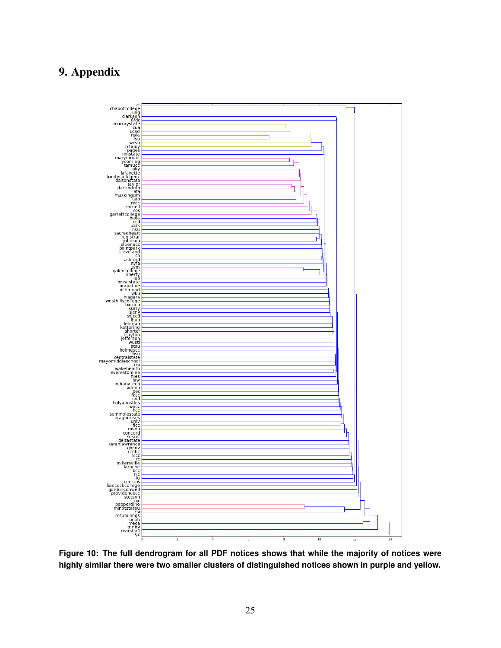# 9. Appendix



**Figure 10: The full dendrogram for all PDF notices shows that while the majority of notices were highly similar there were two smaller clusters of distinguished notices shown in purple and yellow.**